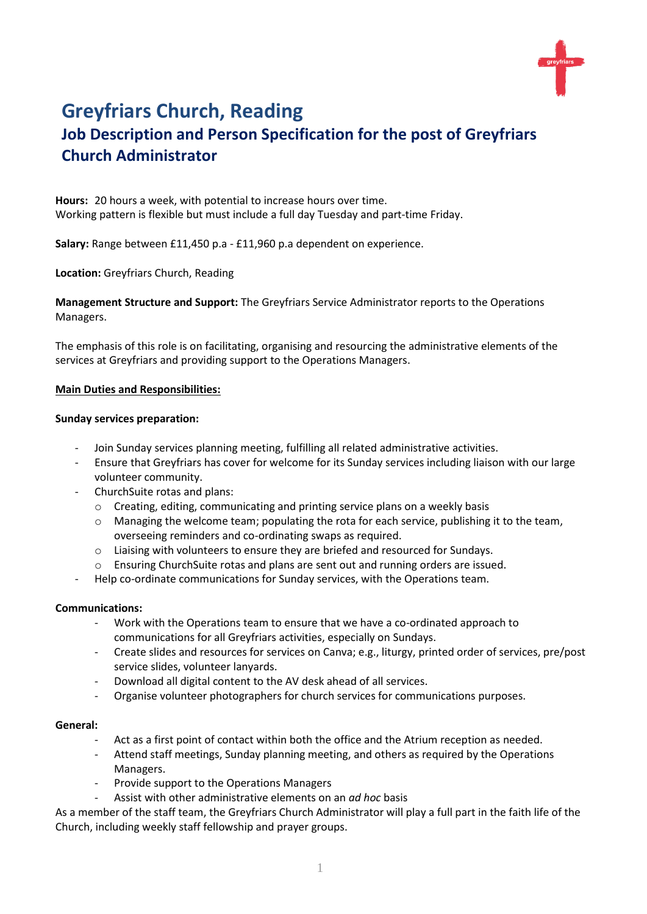# **Greyfriars Church, Reading**

# **Job Description and Person Specification for the post of Greyfriars Church Administrator**

**Hours:** 20 hours a week, with potential to increase hours over time. Working pattern is flexible but must include a full day Tuesday and part-time Friday.

**Salary:** Range between £11,450 p.a - £11,960 p.a dependent on experience.

**Location:** Greyfriars Church, Reading

**Management Structure and Support:** The Greyfriars Service Administrator reports to the Operations Managers.

The emphasis of this role is on facilitating, organising and resourcing the administrative elements of the services at Greyfriars and providing support to the Operations Managers.

#### **Main Duties and Responsibilities:**

#### **Sunday services preparation:**

- Join Sunday services planning meeting, fulfilling all related administrative activities.
- Ensure that Greyfriars has cover for welcome for its Sunday services including liaison with our large volunteer community.
- ChurchSuite rotas and plans:
	- o Creating, editing, communicating and printing service plans on a weekly basis
	- $\circ$  Managing the welcome team; populating the rota for each service, publishing it to the team, overseeing reminders and co-ordinating swaps as required.
	- o Liaising with volunteers to ensure they are briefed and resourced for Sundays.
	- o Ensuring ChurchSuite rotas and plans are sent out and running orders are issued.
- Help co-ordinate communications for Sunday services, with the Operations team.

#### **Communications:**

- Work with the Operations team to ensure that we have a co-ordinated approach to communications for all Greyfriars activities, especially on Sundays.
- Create slides and resources for services on Canva; e.g., liturgy, printed order of services, pre/post service slides, volunteer lanyards.
- Download all digital content to the AV desk ahead of all services.
- Organise volunteer photographers for church services for communications purposes.

#### **General:**

- Act as a first point of contact within both the office and the Atrium reception as needed.
- Attend staff meetings, Sunday planning meeting, and others as required by the Operations Managers.
- Provide support to the Operations Managers
- Assist with other administrative elements on an *ad hoc* basis

As a member of the staff team, the Greyfriars Church Administrator will play a full part in the faith life of the Church, including weekly staff fellowship and prayer groups.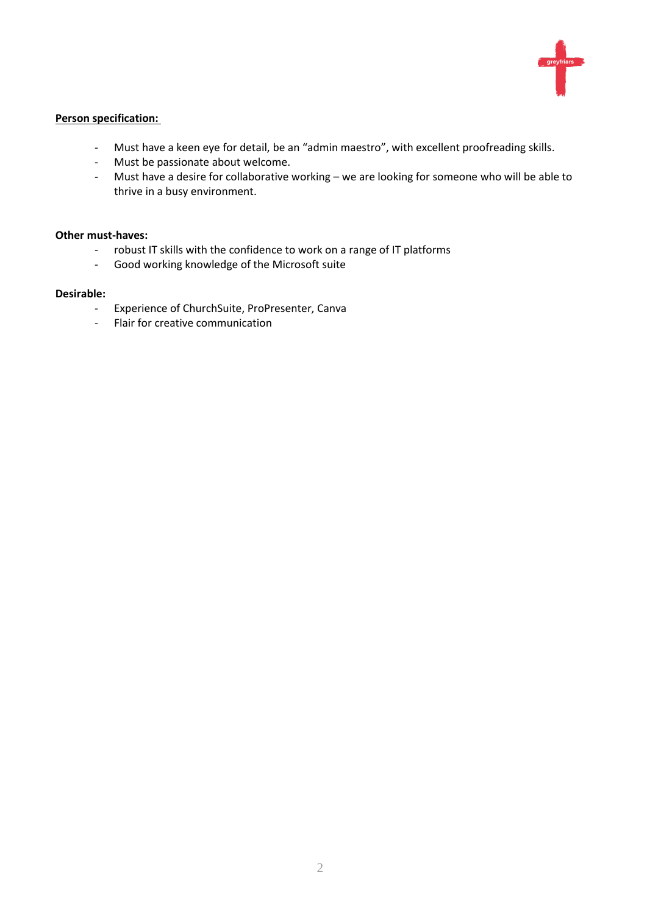

#### **Person specification:**

- Must have a keen eye for detail, be an "admin maestro", with excellent proofreading skills.<br>- Must be passionate about welcome.
- Must be passionate about welcome.
- Must have a desire for collaborative working we are looking for someone who will be able to thrive in a busy environment.

#### **Other must-haves:**

- robust IT skills with the confidence to work on a range of IT platforms
- Good working knowledge of the Microsoft suite

#### **Desirable:**

- Experience of ChurchSuite, ProPresenter, Canva
- Flair for creative communication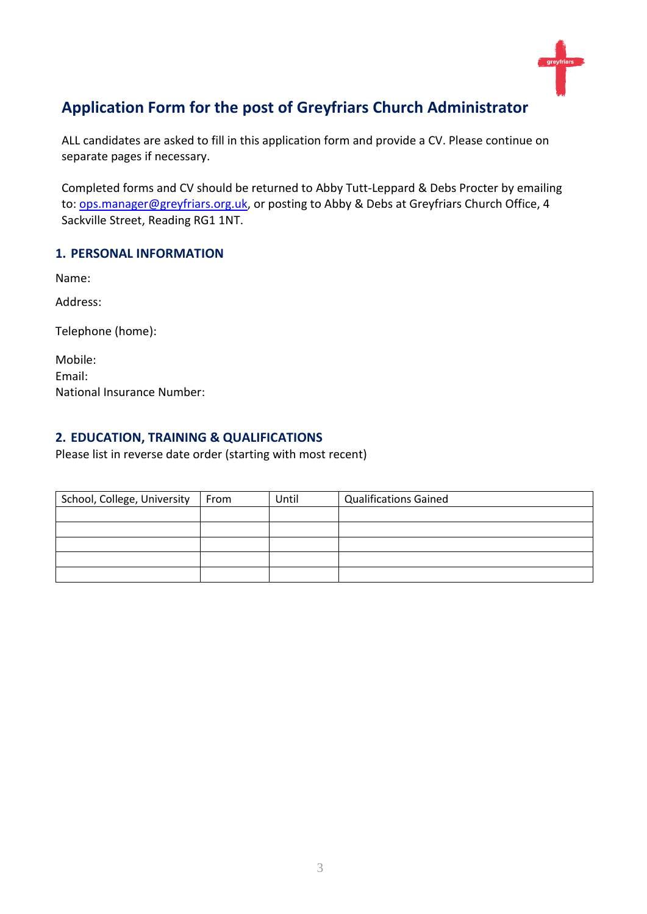

## **Application Form for the post of Greyfriars Church Administrator**

ALL candidates are asked to fill in this application form and provide a CV. Please continue on separate pages if necessary.

Completed forms and CV should be returned to Abby Tutt-Leppard & Debs Procter by emailing to: [ops.manager@greyfriars.org.uk,](mailto:ops.manager@greyfriars.org.uk) or posting to Abby & Debs at Greyfriars Church Office, 4 Sackville Street, Reading RG1 1NT.

### **1. PERSONAL INFORMATION**

Name:

Address:

Telephone (home):

| Mobile:                           |
|-----------------------------------|
| Email:                            |
| <b>National Insurance Number:</b> |

### **2. EDUCATION, TRAINING & QUALIFICATIONS**

Please list in reverse date order (starting with most recent)

| School, College, University | From | Until | <b>Qualifications Gained</b> |
|-----------------------------|------|-------|------------------------------|
|                             |      |       |                              |
|                             |      |       |                              |
|                             |      |       |                              |
|                             |      |       |                              |
|                             |      |       |                              |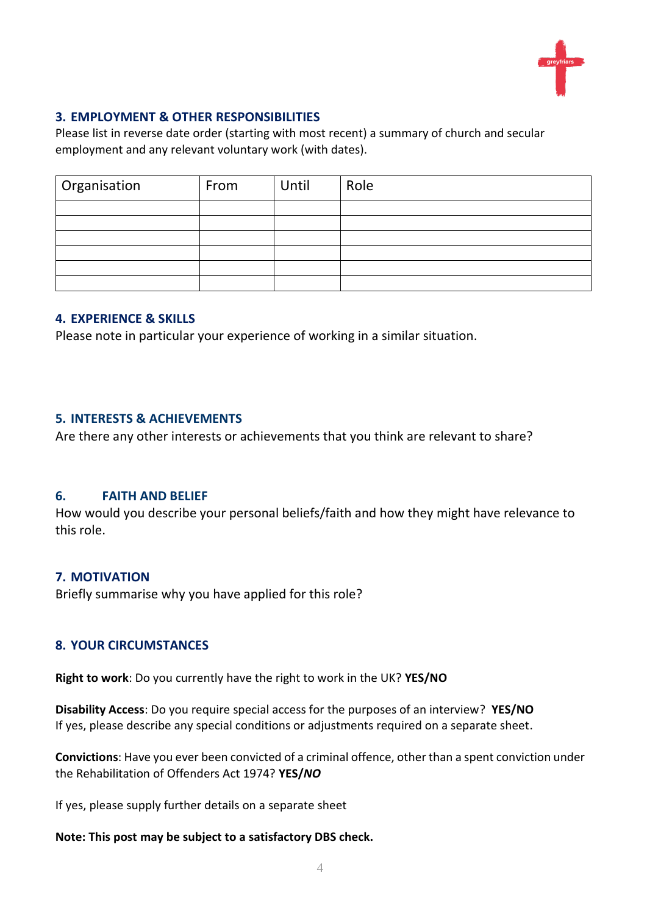

#### **3. EMPLOYMENT & OTHER RESPONSIBILITIES**

Please list in reverse date order (starting with most recent) a summary of church and secular employment and any relevant voluntary work (with dates).

| Organisation | From | Until | Role |
|--------------|------|-------|------|
|              |      |       |      |
|              |      |       |      |
|              |      |       |      |
|              |      |       |      |
|              |      |       |      |
|              |      |       |      |

#### **4. EXPERIENCE & SKILLS**

Please note in particular your experience of working in a similar situation.

#### **5. INTERESTS & ACHIEVEMENTS**

Are there any other interests or achievements that you think are relevant to share?

#### **6. FAITH AND BELIEF**

How would you describe your personal beliefs/faith and how they might have relevance to this role.

#### **7. MOTIVATION**

Briefly summarise why you have applied for this role?

#### **8. YOUR CIRCUMSTANCES**

**Right to work**: Do you currently have the right to work in the UK? **YES/NO**

**Disability Access**: Do you require special access for the purposes of an interview? **YES/NO** If yes, please describe any special conditions or adjustments required on a separate sheet.

**Convictions**: Have you ever been convicted of a criminal offence, other than a spent conviction under the Rehabilitation of Offenders Act 1974? **YES/***NO*

If yes, please supply further details on a separate sheet

#### **Note: This post may be subject to a satisfactory DBS check.**